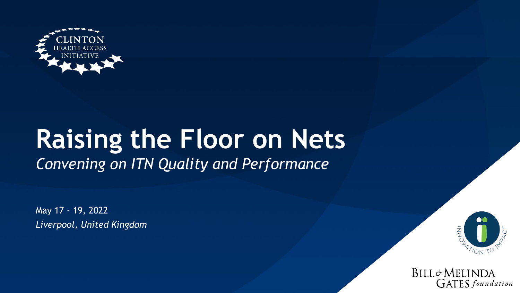

# **Raising the Floor on Nets**  *Convening on ITN Quality and Performance*

May 17 - 19, 2022 *Liverpool, United Kingdom*



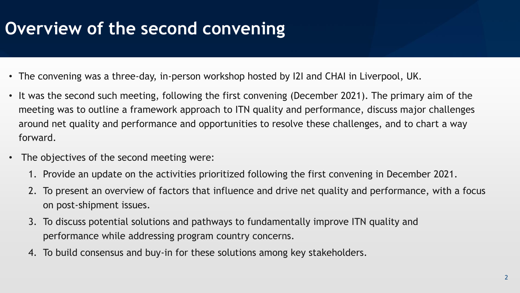## **Overview of the second convening**

- The convening was a three-day, in-person workshop hosted by I2I and CHAI in Liverpool, UK.
- It was the second such meeting, following the first convening (December 2021). The primary aim of the meeting was to outline a framework approach to ITN quality and performance, discuss major challenges around net quality and performance and opportunities to resolve these challenges, and to chart a way forward.
- The objectives of the second meeting were:
	- 1. Provide an update on the activities prioritized following the first convening in December 2021.
	- 2. To present an overview of factors that influence and drive net quality and performance, with a focus on post-shipment issues.
	- 3. To discuss potential solutions and pathways to fundamentally improve ITN quality and performance while addressing program country concerns.
	- 4. To build consensus and buy-in for these solutions among key stakeholders.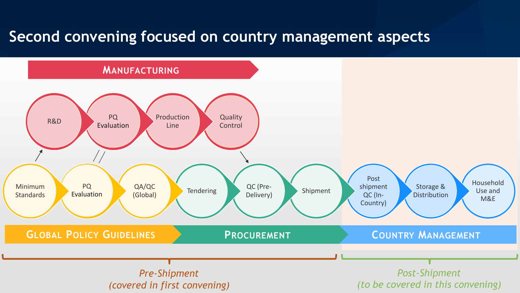### **Second convening focused on country management aspects**

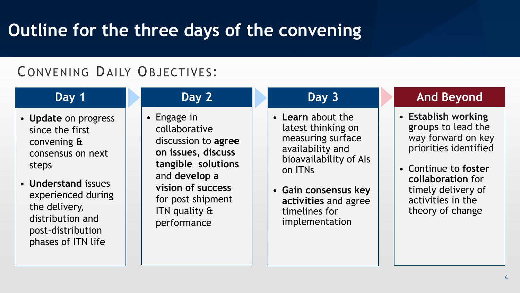## **Outline for the three days of the convening**

### CONVENING DAILY OBJECTIVES :

### **Day 1**

- **Update** on progress since the first convening & consensus on next steps
- **Understand** issues experienced during the delivery, distribution and post-distribution phases of ITN life
- Engage in collaborative discussion to **agree on issues, discuss tangible solutions**  and **develop a vision of success** for post shipment ITN quality & performance

**Day 2**

#### **Day 3**

- **Learn** about the latest thinking on measuring surface availability and bioavailability of AIs on ITNs
- **Gain consensus key activities** and agree timelines for implementation

### **And Beyond**

- **Establish working groups** to lead the way forward on key priorities identified
- Continue to **foster collaboration** for timely delivery of activities in the theory of change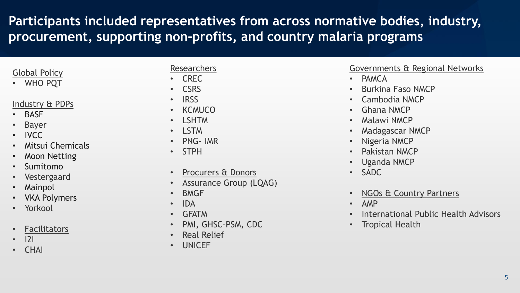### **Participants included representatives from across normative bodies, industry, procurement, supporting non-profits, and country malaria programs**

#### Global Policy

• WHO PQT

#### Industry & PDPs

- **BASF**
- **Bayer**
- IVCC
- Mitsui Chemicals
- **Moon Netting**
- Sumitomo
- Vestergaard
- **Mainpol**
- **VKA Polymers**
- Yorkool
- **Facilitators**
- I2I
- CHAI

#### **Researchers**

- CREC
- CSRS
- IRSS
- KCMUCO
- LSHTM
- LSTM
- PNG- IMR
- STPH
- Procurers & Donors
- Assurance Group (LQAG)
- BMGF
- IDA
- GFATM
- PMI, GHSC-PSM, CDC
- Real Relief
- UNICEF

#### Governments & Regional Networks

- PAMCA
- Burkina Faso NMCP
- Cambodia NMCP
- Ghana NMCP
- Malawi NMCP
- Madagascar NMCP
- Nigeria NMCP
- Pakistan NMCP
- Uganda NMCP
- SADC
- NGOs & Country Partners
- AMP
- International Public Health Advisors
- Tropical Health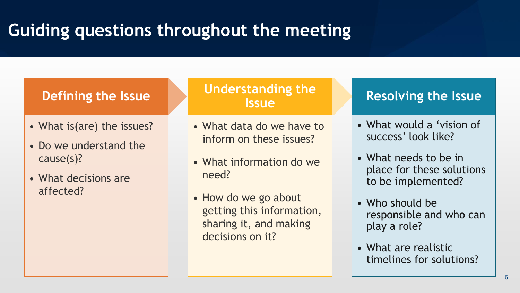# **Guiding questions throughout the meeting**

### **Defining the Issue**

- What is(are) the issues?
- Do we understand the cause(s)?
- What decisions are affected?

**Understanding the Issue**

- What data do we have to inform on these issues?
- What information do we need?
- How do we go about getting this information, sharing it, and making decisions on it?

### **Resolving the Issue**

- What would a 'vision of success' look like?
- What needs to be in place for these solutions to be implemented?
- Who should be responsible and who can play a role?
- What are realistic timelines for solutions?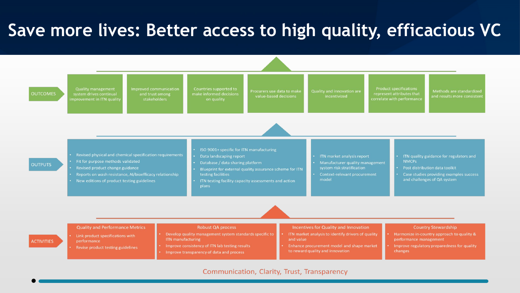## **Save more lives: Better access to high quality, efficacious VC**

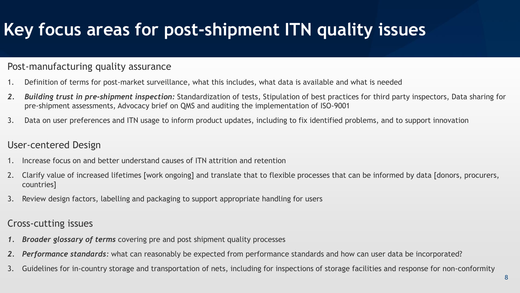# **Key focus areas for post-shipment ITN quality issues**

#### Post-manufacturing quality assurance

- 1. Definition of terms for post-market surveillance, what this includes, what data is available and what is needed
- *2. Building trust in pre-shipment inspection:* Standardization of tests, Stipulation of best practices for third party inspectors, Data sharing for pre-shipment assessments, Advocacy brief on QMS and auditing the implementation of ISO-9001
- 3. Data on user preferences and ITN usage to inform product updates, including to fix identified problems, and to support innovation

#### User-centered Design

- 1. Increase focus on and better understand causes of ITN attrition and retention
- 2. Clarify value of increased lifetimes [work ongoing] and translate that to flexible processes that can be informed by data [donors, procurers, countries]
- 3. Review design factors, labelling and packaging to support appropriate handling for users

#### Cross-cutting issues

- *1. Broader glossary of terms* covering pre and post shipment quality processes
- *2. Performance standards:* what can reasonably be expected from performance standards and how can user data be incorporated?
- 3. Guidelines for in-country storage and transportation of nets, including for inspections of storage facilities and response for non-conformity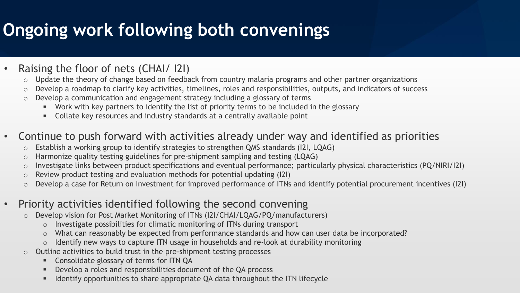# **Ongoing work following both convenings**

- Raising the floor of nets (CHAI/ I2I)
	- o Update the theory of change based on feedback from country malaria programs and other partner organizations
	- o Develop a roadmap to clarify key activities, timelines, roles and responsibilities, outputs, and indicators of success
	- o Develop a communication and engagement strategy including a glossary of terms
		- **■** Work with key partners to identify the list of priority terms to be included in the glossary
		- **EXECOLLATE:** Collate key resources and industry standards at a centrally available point
- Continue to push forward with activities already under way and identified as priorities
	- o Establish a working group to identify strategies to strengthen QMS standards (I2I, LQAG)
	- o Harmonize quality testing guidelines for pre-shipment sampling and testing (LQAG)
	- o Investigate links between product specifications and eventual performance; particularly physical characteristics (PQ/NIRI/I2I)
	- o Review product testing and evaluation methods for potential updating (I2I)
	- o Develop a case for Return on Investment for improved performance of ITNs and identify potential procurement incentives (I2I)
- Priority activities identified following the second convening
	- o Develop vision for Post Market Monitoring of ITNs (I2I/CHAI/LQAG/PQ/manufacturers)
		- o Investigate possibilities for climatic monitoring of ITNs during transport
		- o What can reasonably be expected from performance standards and how can user data be incorporated?
		- o Identify new ways to capture ITN usage in households and re-look at durability monitoring
	- o Outline activities to build trust in the pre-shipment testing processes
		- **EXECONSOLIGATE SHOW CONSOLIGE SET ASSESS**
		- **•** Develop a roles and responsibilities document of the QA process
		- Identify opportunities to share appropriate QA data throughout the ITN lifecycle